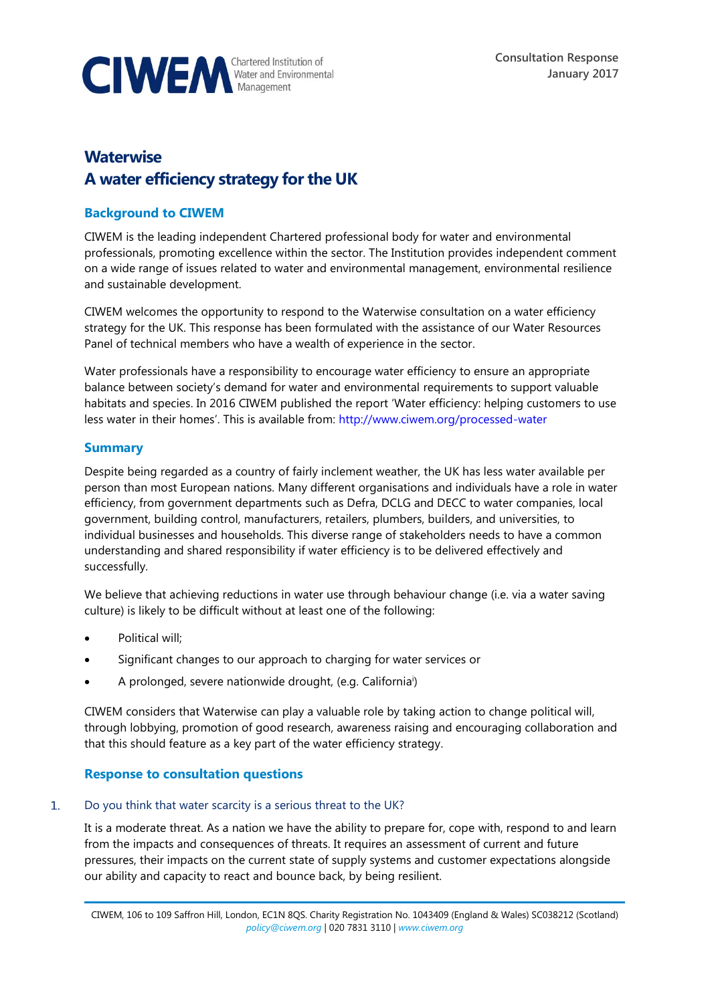

# **Waterwise A water efficiency strategy for the UK**

## **Background to CIWEM**

CIWEM is the leading independent Chartered professional body for water and environmental professionals, promoting excellence within the sector. The Institution provides independent comment on a wide range of issues related to water and environmental management, environmental resilience and sustainable development.

CIWEM welcomes the opportunity to respond to the Waterwise consultation on a water efficiency strategy for the UK. This response has been formulated with the assistance of our Water Resources Panel of technical members who have a wealth of experience in the sector.

Water professionals have a responsibility to encourage water efficiency to ensure an appropriate balance between society's demand for water and environmental requirements to support valuable habitats and species. In 2016 CIWEM published the report 'Water efficiency: helping customers to use less water in their homes'. This is available from: <http://www.ciwem.org/processed-water>

## **Summary**

Despite being regarded as a country of fairly inclement weather, the UK has less water available per person than most European nations. Many different organisations and individuals have a role in water efficiency, from government departments such as Defra, DCLG and DECC to water companies, local government, building control, manufacturers, retailers, plumbers, builders, and universities, to individual businesses and households. This diverse range of stakeholders needs to have a common understanding and shared responsibility if water efficiency is to be delivered effectively and successfully.

We believe that achieving reductions in water use through behaviour change (i.e. via a water saving culture) is likely to be difficult without at least one of the following:

- Political will;
- Significant changes to our approach to charging for water services or
- A prolonged, severe nationwide drought, (e.g. California<sup>i</sup>)

CIWEM considers that Waterwise can play a valuable role by taking action to change political will, through lobbying, promotion of good research, awareness raising and encouraging collaboration and that this should feature as a key part of the water efficiency strategy.

## **Response to consultation questions**

### $\mathbf{1}$ Do you think that water scarcity is a serious threat to the UK?

It is a moderate threat. As a nation we have the ability to prepare for, cope with, respond to and learn from the impacts and consequences of threats. It requires an assessment of current and future pressures, their impacts on the current state of supply systems and customer expectations alongside our ability and capacity to react and bounce back, by being resilient.

CIWEM, 106 to 109 Saffron Hill, London, EC1N 8QS. Charity Registration No. 1043409 (England & Wales) SC038212 (Scotland) *[policy@ciwem.org](mailto:policy@ciwem.org)* | 020 7831 3110 | *[www.ciwem.org](http://www.ciwem.org/)*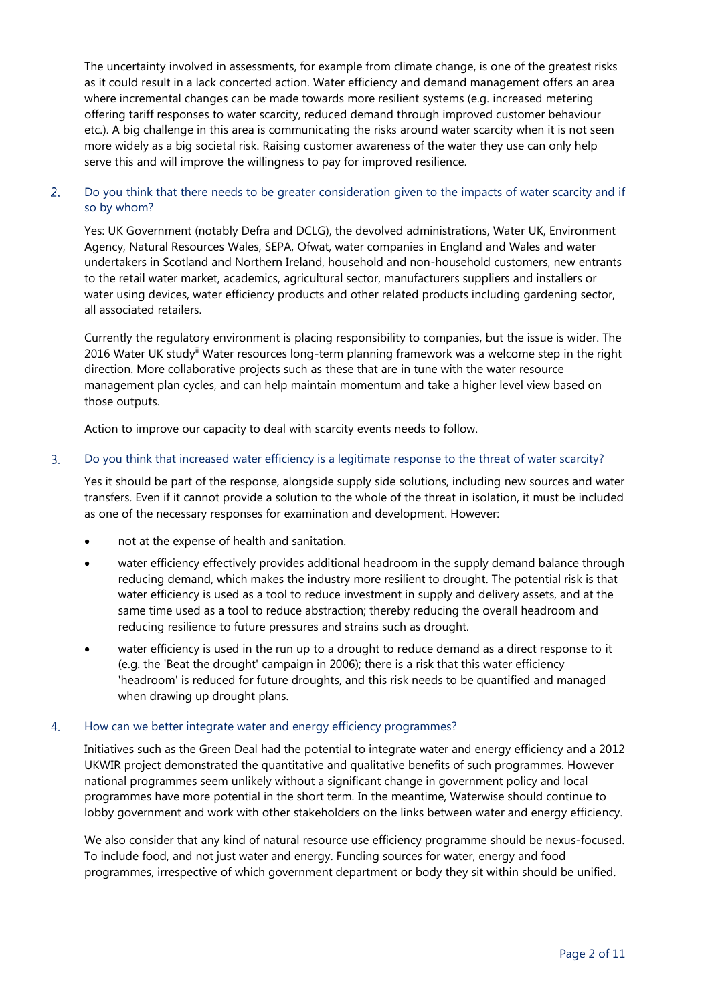The uncertainty involved in assessments, for example from climate change, is one of the greatest risks as it could result in a lack concerted action. Water efficiency and demand management offers an area where incremental changes can be made towards more resilient systems (e.g. increased metering offering tariff responses to water scarcity, reduced demand through improved customer behaviour etc.). A big challenge in this area is communicating the risks around water scarcity when it is not seen more widely as a big societal risk. Raising customer awareness of the water they use can only help serve this and will improve the willingness to pay for improved resilience.

## $2.$ Do you think that there needs to be greater consideration given to the impacts of water scarcity and if so by whom?

Yes: UK Government (notably Defra and DCLG), the devolved administrations, Water UK, Environment Agency, Natural Resources Wales, SEPA, Ofwat, water companies in England and Wales and water undertakers in Scotland and Northern Ireland, household and non-household customers, new entrants to the retail water market, academics, agricultural sector, manufacturers suppliers and installers or water using devices, water efficiency products and other related products including gardening sector, all associated retailers.

Currently the regulatory environment is placing responsibility to companies, but the issue is wider. The 2016 Water UK studyii Water resources long-term planning framework was a welcome step in the right direction. More collaborative projects such as these that are in tune with the water resource management plan cycles, and can help maintain momentum and take a higher level view based on those outputs.

Action to improve our capacity to deal with scarcity events needs to follow.

#### $3.$ Do you think that increased water efficiency is a legitimate response to the threat of water scarcity?

Yes it should be part of the response, alongside supply side solutions, including new sources and water transfers. Even if it cannot provide a solution to the whole of the threat in isolation, it must be included as one of the necessary responses for examination and development. However:

- not at the expense of health and sanitation.
- water efficiency effectively provides additional headroom in the supply demand balance through reducing demand, which makes the industry more resilient to drought. The potential risk is that water efficiency is used as a tool to reduce investment in supply and delivery assets, and at the same time used as a tool to reduce abstraction; thereby reducing the overall headroom and reducing resilience to future pressures and strains such as drought.
- water efficiency is used in the run up to a drought to reduce demand as a direct response to it (e.g. the 'Beat the drought' campaign in 2006); there is a risk that this water efficiency 'headroom' is reduced for future droughts, and this risk needs to be quantified and managed when drawing up drought plans.

#### $\overline{4}$ How can we better integrate water and energy efficiency programmes?

Initiatives such as the Green Deal had the potential to integrate water and energy efficiency and a 2012 UKWIR project demonstrated the quantitative and qualitative benefits of such programmes. However national programmes seem unlikely without a significant change in government policy and local programmes have more potential in the short term. In the meantime, Waterwise should continue to lobby government and work with other stakeholders on the links between water and energy efficiency.

We also consider that any kind of natural resource use efficiency programme should be nexus-focused. To include food, and not just water and energy. Funding sources for water, energy and food programmes, irrespective of which government department or body they sit within should be unified.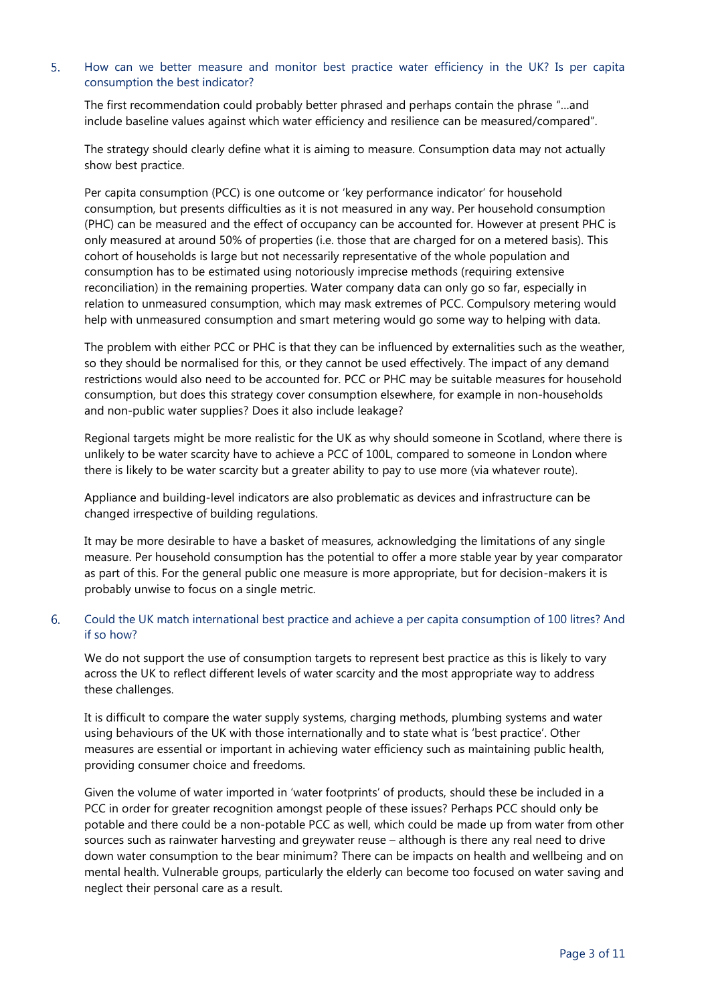## $5<sub>1</sub>$ How can we better measure and monitor best practice water efficiency in the UK? Is per capita consumption the best indicator?

The first recommendation could probably better phrased and perhaps contain the phrase "…and include baseline values against which water efficiency and resilience can be measured/compared".

The strategy should clearly define what it is aiming to measure. Consumption data may not actually show best practice.

Per capita consumption (PCC) is one outcome or 'key performance indicator' for household consumption, but presents difficulties as it is not measured in any way. Per household consumption (PHC) can be measured and the effect of occupancy can be accounted for. However at present PHC is only measured at around 50% of properties (i.e. those that are charged for on a metered basis). This cohort of households is large but not necessarily representative of the whole population and consumption has to be estimated using notoriously imprecise methods (requiring extensive reconciliation) in the remaining properties. Water company data can only go so far, especially in relation to unmeasured consumption, which may mask extremes of PCC. Compulsory metering would help with unmeasured consumption and smart metering would go some way to helping with data.

The problem with either PCC or PHC is that they can be influenced by externalities such as the weather, so they should be normalised for this, or they cannot be used effectively. The impact of any demand restrictions would also need to be accounted for. PCC or PHC may be suitable measures for household consumption, but does this strategy cover consumption elsewhere, for example in non-households and non-public water supplies? Does it also include leakage?

Regional targets might be more realistic for the UK as why should someone in Scotland, where there is unlikely to be water scarcity have to achieve a PCC of 100L, compared to someone in London where there is likely to be water scarcity but a greater ability to pay to use more (via whatever route).

Appliance and building-level indicators are also problematic as devices and infrastructure can be changed irrespective of building regulations.

It may be more desirable to have a basket of measures, acknowledging the limitations of any single measure. Per household consumption has the potential to offer a more stable year by year comparator as part of this. For the general public one measure is more appropriate, but for decision-makers it is probably unwise to focus on a single metric.

## 6. Could the UK match international best practice and achieve a per capita consumption of 100 litres? And if so how?

We do not support the use of consumption targets to represent best practice as this is likely to vary across the UK to reflect different levels of water scarcity and the most appropriate way to address these challenges.

It is difficult to compare the water supply systems, charging methods, plumbing systems and water using behaviours of the UK with those internationally and to state what is 'best practice'. Other measures are essential or important in achieving water efficiency such as maintaining public health, providing consumer choice and freedoms.

Given the volume of water imported in 'water footprints' of products, should these be included in a PCC in order for greater recognition amongst people of these issues? Perhaps PCC should only be potable and there could be a non-potable PCC as well, which could be made up from water from other sources such as rainwater harvesting and greywater reuse – although is there any real need to drive down water consumption to the bear minimum? There can be impacts on health and wellbeing and on mental health. Vulnerable groups, particularly the elderly can become too focused on water saving and neglect their personal care as a result.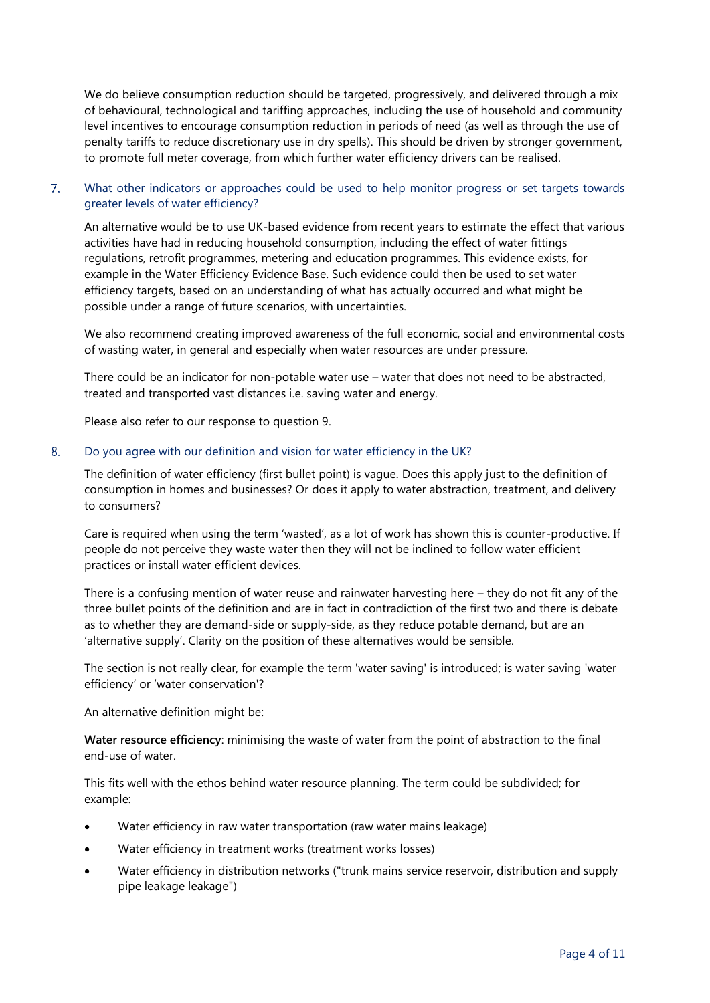We do believe consumption reduction should be targeted, progressively, and delivered through a mix of behavioural, technological and tariffing approaches, including the use of household and community level incentives to encourage consumption reduction in periods of need (as well as through the use of penalty tariffs to reduce discretionary use in dry spells). This should be driven by stronger government, to promote full meter coverage, from which further water efficiency drivers can be realised.

## $7<sub>1</sub>$ What other indicators or approaches could be used to help monitor progress or set targets towards greater levels of water efficiency?

An alternative would be to use UK-based evidence from recent years to estimate the effect that various activities have had in reducing household consumption, including the effect of water fittings regulations, retrofit programmes, metering and education programmes. This evidence exists, for example in the Water Efficiency Evidence Base. Such evidence could then be used to set water efficiency targets, based on an understanding of what has actually occurred and what might be possible under a range of future scenarios, with uncertainties.

We also recommend creating improved awareness of the full economic, social and environmental costs of wasting water, in general and especially when water resources are under pressure.

There could be an indicator for non-potable water use – water that does not need to be abstracted, treated and transported vast distances i.e. saving water and energy.

Please also refer to our response to question 9.

#### 8. Do you agree with our definition and vision for water efficiency in the UK?

The definition of water efficiency (first bullet point) is vague. Does this apply just to the definition of consumption in homes and businesses? Or does it apply to water abstraction, treatment, and delivery to consumers?

Care is required when using the term 'wasted', as a lot of work has shown this is counter-productive. If people do not perceive they waste water then they will not be inclined to follow water efficient practices or install water efficient devices.

There is a confusing mention of water reuse and rainwater harvesting here – they do not fit any of the three bullet points of the definition and are in fact in contradiction of the first two and there is debate as to whether they are demand-side or supply-side, as they reduce potable demand, but are an 'alternative supply'. Clarity on the position of these alternatives would be sensible.

The section is not really clear, for example the term 'water saving' is introduced; is water saving 'water efficiency' or 'water conservation'?

An alternative definition might be:

**Water resource efficiency**: minimising the waste of water from the point of abstraction to the final end-use of water.

This fits well with the ethos behind water resource planning. The term could be subdivided; for example:

- Water efficiency in raw water transportation (raw water mains leakage)
- Water efficiency in treatment works (treatment works losses)
- Water efficiency in distribution networks ("trunk mains service reservoir, distribution and supply pipe leakage leakage")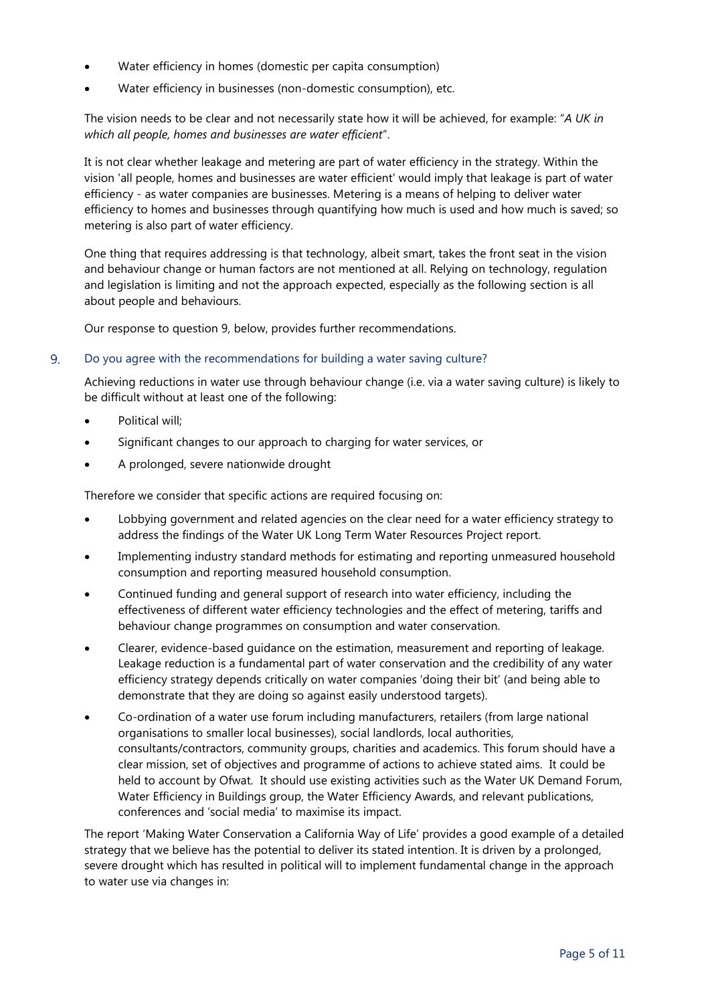- Water efficiency in homes (domestic per capita consumption)
- Water efficiency in businesses (non-domestic consumption), etc.

The vision needs to be clear and not necessarily state how it will be achieved, for example: "*A UK in which all people, homes and businesses are water efficient*".

It is not clear whether leakage and metering are part of water efficiency in the strategy. Within the vision 'all people, homes and businesses are water efficient' would imply that leakage is part of water efficiency - as water companies are businesses. Metering is a means of helping to deliver water efficiency to homes and businesses through quantifying how much is used and how much is saved; so metering is also part of water efficiency.

One thing that requires addressing is that technology, albeit smart, takes the front seat in the vision and behaviour change or human factors are not mentioned at all. Relying on technology, regulation and legislation is limiting and not the approach expected, especially as the following section is all about people and behaviours.

Our response to question 9, below, provides further recommendations.

#### 9. Do you agree with the recommendations for building a water saving culture?

Achieving reductions in water use through behaviour change (i.e. via a water saving culture) is likely to be difficult without at least one of the following:

- Political will;
- Significant changes to our approach to charging for water services, or
- A prolonged, severe nationwide drought

Therefore we consider that specific actions are required focusing on:

- Lobbying government and related agencies on the clear need for a water efficiency strategy to address the findings of the Water UK Long Term Water Resources Project report.
- Implementing industry standard methods for estimating and reporting unmeasured household consumption and reporting measured household consumption.
- Continued funding and general support of research into water efficiency, including the effectiveness of different water efficiency technologies and the effect of metering, tariffs and behaviour change programmes on consumption and water conservation.
- Clearer, evidence-based guidance on the estimation, measurement and reporting of leakage. Leakage reduction is a fundamental part of water conservation and the credibility of any water efficiency strategy depends critically on water companies 'doing their bit' (and being able to demonstrate that they are doing so against easily understood targets).
- Co-ordination of a water use forum including manufacturers, retailers (from large national organisations to smaller local businesses), social landlords, local authorities, consultants/contractors, community groups, charities and academics. This forum should have a clear mission, set of objectives and programme of actions to achieve stated aims. It could be held to account by Ofwat. It should use existing activities such as the Water UK Demand Forum, Water Efficiency in Buildings group, the Water Efficiency Awards, and relevant publications, conferences and 'social media' to maximise its impact.

The report 'Making Water Conservation a California Way of Life' provides a good example of a detailed strategy that we believe has the potential to deliver its stated intention. It is driven by a prolonged, severe drought which has resulted in political will to implement fundamental change in the approach to water use via changes in: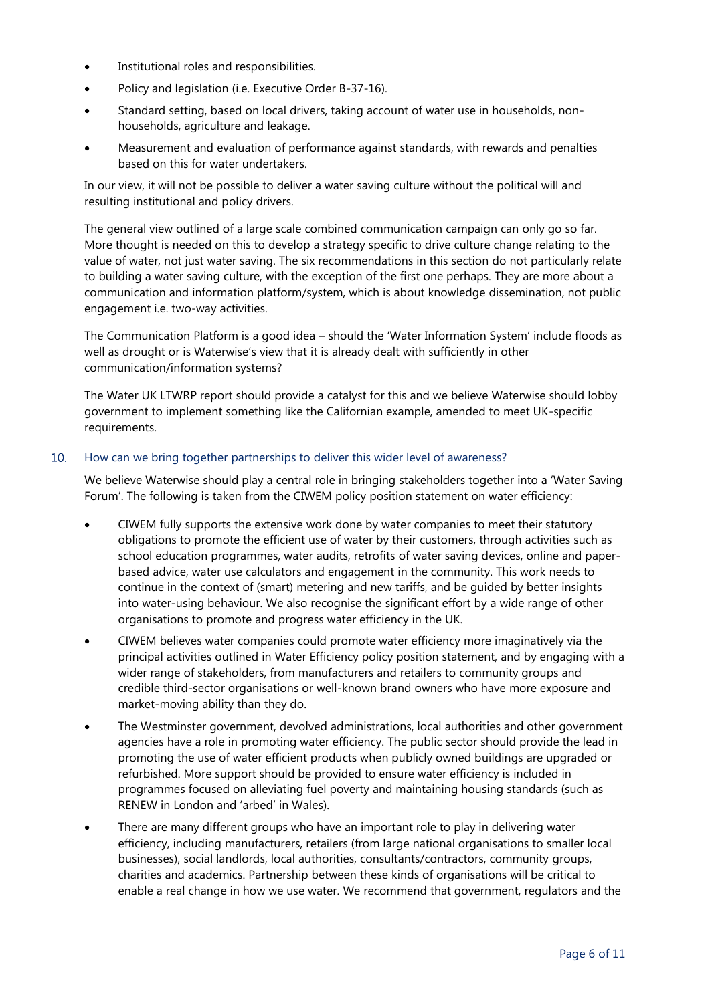- Institutional roles and responsibilities.
- Policy and legislation (i.e. Executive Order B-37-16).
- Standard setting, based on local drivers, taking account of water use in households, nonhouseholds, agriculture and leakage.
- Measurement and evaluation of performance against standards, with rewards and penalties based on this for water undertakers.

In our view, it will not be possible to deliver a water saving culture without the political will and resulting institutional and policy drivers.

The general view outlined of a large scale combined communication campaign can only go so far. More thought is needed on this to develop a strategy specific to drive culture change relating to the value of water, not just water saving. The six recommendations in this section do not particularly relate to building a water saving culture, with the exception of the first one perhaps. They are more about a communication and information platform/system, which is about knowledge dissemination, not public engagement i.e. two-way activities.

The Communication Platform is a good idea – should the 'Water Information System' include floods as well as drought or is Waterwise's view that it is already dealt with sufficiently in other communication/information systems?

The Water UK LTWRP report should provide a catalyst for this and we believe Waterwise should lobby government to implement something like the Californian example, amended to meet UK-specific requirements.

### $10<sub>1</sub>$ How can we bring together partnerships to deliver this wider level of awareness?

We believe Waterwise should play a central role in bringing stakeholders together into a 'Water Saving Forum'. The following is taken from the CIWEM policy position statement on water efficiency:

- CIWEM fully supports the extensive work done by water companies to meet their statutory obligations to promote the efficient use of water by their customers, through activities such as school education programmes, water audits, retrofits of water saving devices, online and paperbased advice, water use calculators and engagement in the community. This work needs to continue in the context of (smart) metering and new tariffs, and be guided by better insights into water-using behaviour. We also recognise the significant effort by a wide range of other organisations to promote and progress water efficiency in the UK.
- CIWEM believes water companies could promote water efficiency more imaginatively via the principal activities outlined in Water Efficiency policy position statement, and by engaging with a wider range of stakeholders, from manufacturers and retailers to community groups and credible third-sector organisations or well-known brand owners who have more exposure and market-moving ability than they do.
- The Westminster government, devolved administrations, local authorities and other government agencies have a role in promoting water efficiency. The public sector should provide the lead in promoting the use of water efficient products when publicly owned buildings are upgraded or refurbished. More support should be provided to ensure water efficiency is included in programmes focused on alleviating fuel poverty and maintaining housing standards (such as RENEW in London and 'arbed' in Wales).
- There are many different groups who have an important role to play in delivering water efficiency, including manufacturers, retailers (from large national organisations to smaller local businesses), social landlords, local authorities, consultants/contractors, community groups, charities and academics. Partnership between these kinds of organisations will be critical to enable a real change in how we use water. We recommend that government, regulators and the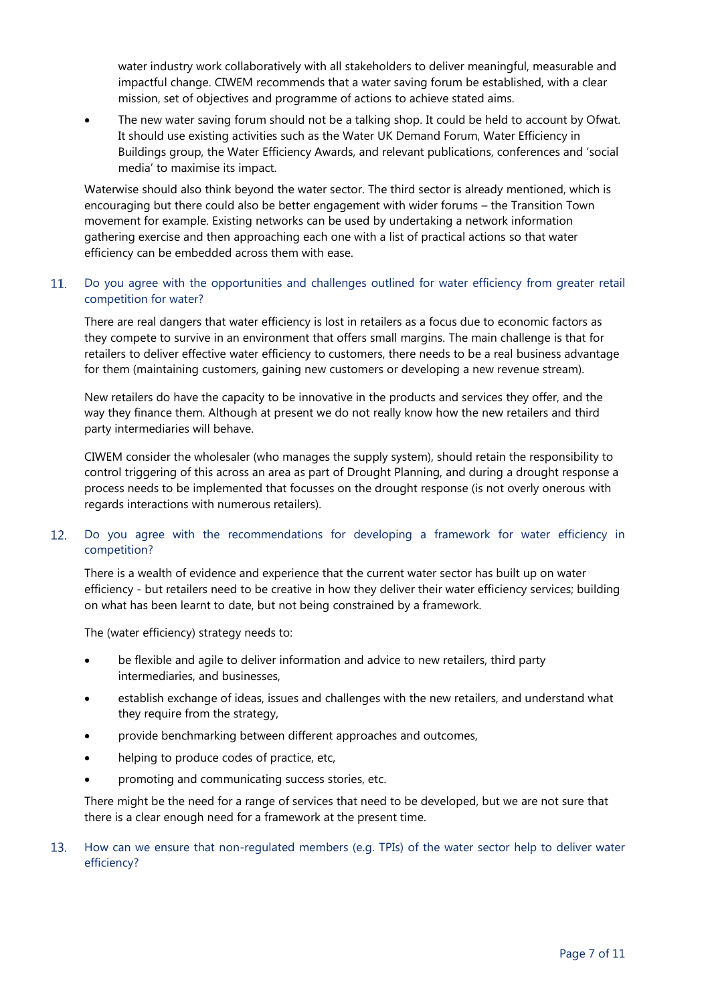water industry work collaboratively with all stakeholders to deliver meaningful, measurable and impactful change. CIWEM recommends that a water saving forum be established, with a clear mission, set of objectives and programme of actions to achieve stated aims.

 The new water saving forum should not be a talking shop. It could be held to account by Ofwat. It should use existing activities such as the Water UK Demand Forum, Water Efficiency in Buildings group, the Water Efficiency Awards, and relevant publications, conferences and 'social media' to maximise its impact.

Waterwise should also think beyond the water sector. The third sector is already mentioned, which is encouraging but there could also be better engagement with wider forums – the Transition Town movement for example. Existing networks can be used by undertaking a network information gathering exercise and then approaching each one with a list of practical actions so that water efficiency can be embedded across them with ease.

## 11. Do you agree with the opportunities and challenges outlined for water efficiency from greater retail competition for water?

There are real dangers that water efficiency is lost in retailers as a focus due to economic factors as they compete to survive in an environment that offers small margins. The main challenge is that for retailers to deliver effective water efficiency to customers, there needs to be a real business advantage for them (maintaining customers, gaining new customers or developing a new revenue stream).

New retailers do have the capacity to be innovative in the products and services they offer, and the way they finance them. Although at present we do not really know how the new retailers and third party intermediaries will behave.

CIWEM consider the wholesaler (who manages the supply system), should retain the responsibility to control triggering of this across an area as part of Drought Planning, and during a drought response a process needs to be implemented that focusses on the drought response (is not overly onerous with regards interactions with numerous retailers).

## Do you agree with the recommendations for developing a framework for water efficiency in  $12.$ competition?

There is a wealth of evidence and experience that the current water sector has built up on water efficiency - but retailers need to be creative in how they deliver their water efficiency services; building on what has been learnt to date, but not being constrained by a framework.

The (water efficiency) strategy needs to:

- be flexible and agile to deliver information and advice to new retailers, third party intermediaries, and businesses,
- establish exchange of ideas, issues and challenges with the new retailers, and understand what they require from the strategy,
- provide benchmarking between different approaches and outcomes,
- helping to produce codes of practice, etc,
- promoting and communicating success stories, etc.

There might be the need for a range of services that need to be developed, but we are not sure that there is a clear enough need for a framework at the present time.

## $13.$ How can we ensure that non-regulated members (e.g. TPIs) of the water sector help to deliver water efficiency?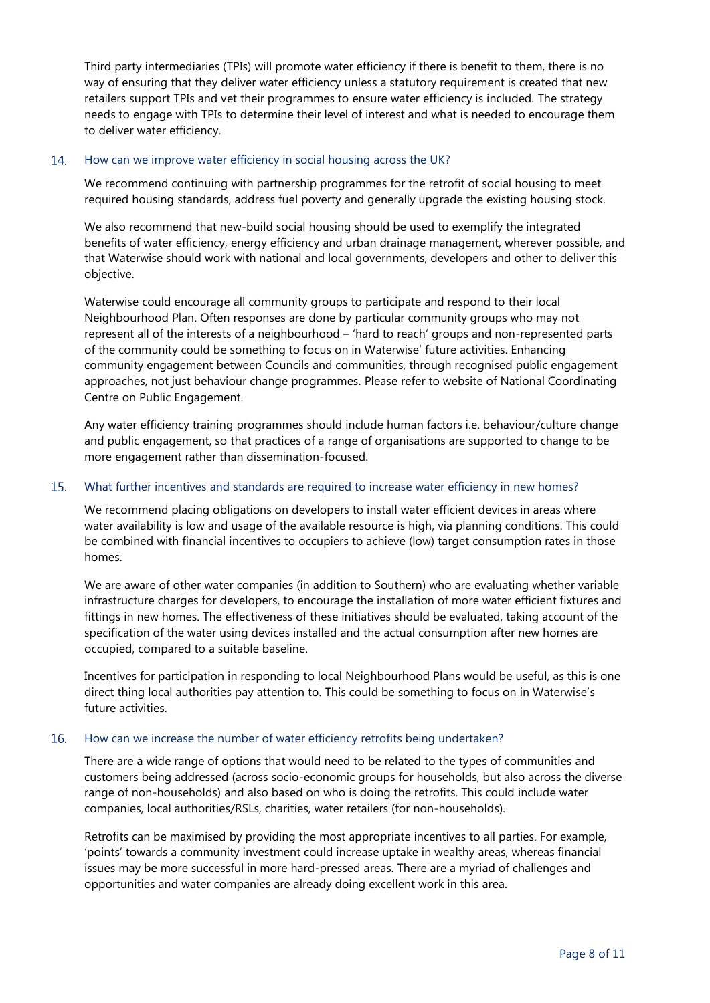Third party intermediaries (TPIs) will promote water efficiency if there is benefit to them, there is no way of ensuring that they deliver water efficiency unless a statutory requirement is created that new retailers support TPIs and vet their programmes to ensure water efficiency is included. The strategy needs to engage with TPIs to determine their level of interest and what is needed to encourage them to deliver water efficiency.

#### How can we improve water efficiency in social housing across the UK? 14.

We recommend continuing with partnership programmes for the retrofit of social housing to meet required housing standards, address fuel poverty and generally upgrade the existing housing stock.

We also recommend that new-build social housing should be used to exemplify the integrated benefits of water efficiency, energy efficiency and urban drainage management, wherever possible, and that Waterwise should work with national and local governments, developers and other to deliver this objective.

Waterwise could encourage all community groups to participate and respond to their local Neighbourhood Plan. Often responses are done by particular community groups who may not represent all of the interests of a neighbourhood – 'hard to reach' groups and non-represented parts of the community could be something to focus on in Waterwise' future activities. Enhancing community engagement between Councils and communities, through recognised public engagement approaches, not just behaviour change programmes. Please refer to website of National Coordinating Centre on Public Engagement.

Any water efficiency training programmes should include human factors i.e. behaviour/culture change and public engagement, so that practices of a range of organisations are supported to change to be more engagement rather than dissemination-focused.

#### 15. What further incentives and standards are required to increase water efficiency in new homes?

We recommend placing obligations on developers to install water efficient devices in areas where water availability is low and usage of the available resource is high, via planning conditions. This could be combined with financial incentives to occupiers to achieve (low) target consumption rates in those homes.

We are aware of other water companies (in addition to Southern) who are evaluating whether variable infrastructure charges for developers, to encourage the installation of more water efficient fixtures and fittings in new homes. The effectiveness of these initiatives should be evaluated, taking account of the specification of the water using devices installed and the actual consumption after new homes are occupied, compared to a suitable baseline.

Incentives for participation in responding to local Neighbourhood Plans would be useful, as this is one direct thing local authorities pay attention to. This could be something to focus on in Waterwise's future activities.

#### $16<sub>1</sub>$ How can we increase the number of water efficiency retrofits being undertaken?

There are a wide range of options that would need to be related to the types of communities and customers being addressed (across socio-economic groups for households, but also across the diverse range of non-households) and also based on who is doing the retrofits. This could include water companies, local authorities/RSLs, charities, water retailers (for non-households).

Retrofits can be maximised by providing the most appropriate incentives to all parties. For example, 'points' towards a community investment could increase uptake in wealthy areas, whereas financial issues may be more successful in more hard-pressed areas. There are a myriad of challenges and opportunities and water companies are already doing excellent work in this area.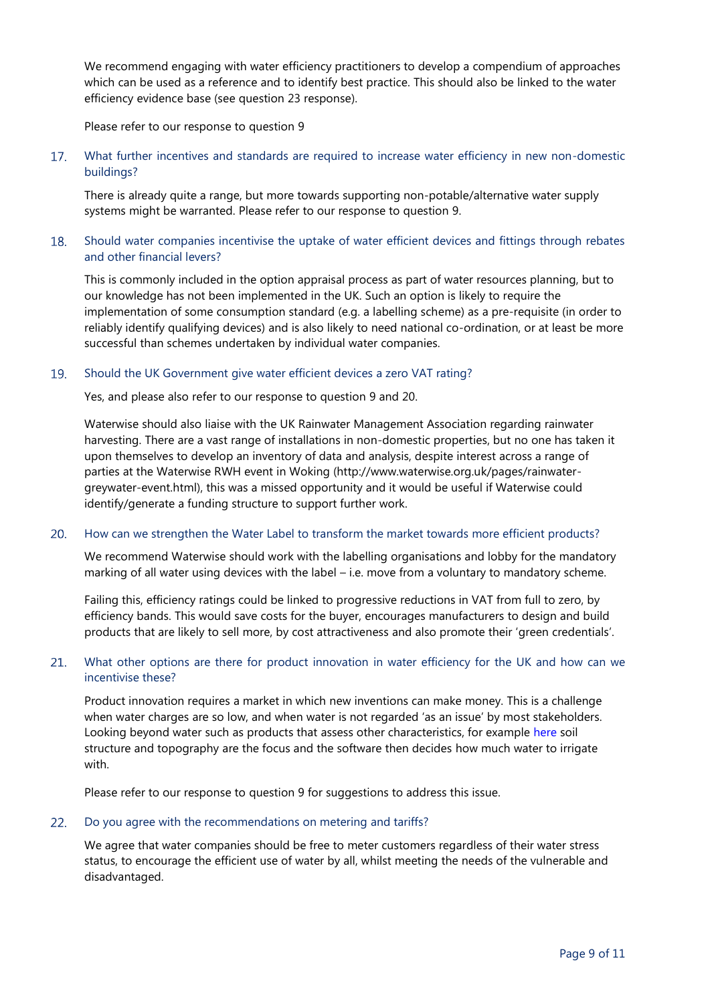We recommend engaging with water efficiency practitioners to develop a compendium of approaches which can be used as a reference and to identify best practice. This should also be linked to the water efficiency evidence base (see question 23 response).

Please refer to our response to question 9

 $17<sub>1</sub>$ What further incentives and standards are required to increase water efficiency in new non-domestic buildings?

There is already quite a range, but more towards supporting non-potable/alternative water supply systems might be warranted. Please refer to our response to question 9.

## 18. Should water companies incentivise the uptake of water efficient devices and fittings through rebates and other financial levers?

This is commonly included in the option appraisal process as part of water resources planning, but to our knowledge has not been implemented in the UK. Such an option is likely to require the implementation of some consumption standard (e.g. a labelling scheme) as a pre-requisite (in order to reliably identify qualifying devices) and is also likely to need national co-ordination, or at least be more successful than schemes undertaken by individual water companies.

#### 19. Should the UK Government give water efficient devices a zero VAT rating?

Yes, and please also refer to our response to question 9 and 20.

Waterwise should also liaise with the UK Rainwater Management Association regarding rainwater harvesting. There are a vast range of installations in non-domestic properties, but no one has taken it upon themselves to develop an inventory of data and analysis, despite interest across a range of parties at the Waterwise RWH event in Woking (http://www.waterwise.org.uk/pages/rainwatergreywater-event.html), this was a missed opportunity and it would be useful if Waterwise could identify/generate a funding structure to support further work.

#### 20. How can we strengthen the Water Label to transform the market towards more efficient products?

We recommend Waterwise should work with the labelling organisations and lobby for the mandatory marking of all water using devices with the label – i.e. move from a voluntary to mandatory scheme.

Failing this, efficiency ratings could be linked to progressive reductions in VAT from full to zero, by efficiency bands. This would save costs for the buyer, encourages manufacturers to design and build products that are likely to sell more, by cost attractiveness and also promote their 'green credentials'.

## $21.$ What other options are there for product innovation in water efficiency for the UK and how can we incentivise these?

Product innovation requires a market in which new inventions can make money. This is a challenge when water charges are so low, and when water is not regarded 'as an issue' by most stakeholders. Looking beyond water such as products that assess other characteristics, for example [here](https://www.wired.com/2015/06/smart-sensor-farmers-dont-waste-water-drought/) soil structure and topography are the focus and the software then decides how much water to irrigate with.

Please refer to our response to question 9 for suggestions to address this issue.

### $22.$ Do you agree with the recommendations on metering and tariffs?

We agree that water companies should be free to meter customers regardless of their water stress status, to encourage the efficient use of water by all, whilst meeting the needs of the vulnerable and disadvantaged.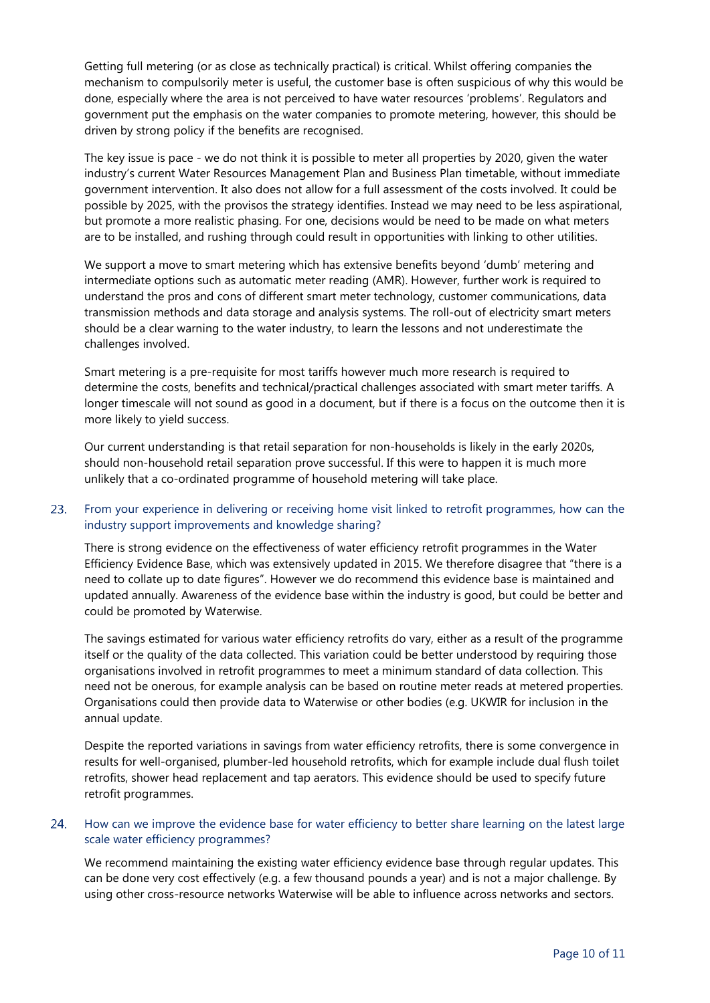Getting full metering (or as close as technically practical) is critical. Whilst offering companies the mechanism to compulsorily meter is useful, the customer base is often suspicious of why this would be done, especially where the area is not perceived to have water resources 'problems'. Regulators and government put the emphasis on the water companies to promote metering, however, this should be driven by strong policy if the benefits are recognised.

The key issue is pace - we do not think it is possible to meter all properties by 2020, given the water industry's current Water Resources Management Plan and Business Plan timetable, without immediate government intervention. It also does not allow for a full assessment of the costs involved. It could be possible by 2025, with the provisos the strategy identifies. Instead we may need to be less aspirational, but promote a more realistic phasing. For one, decisions would be need to be made on what meters are to be installed, and rushing through could result in opportunities with linking to other utilities.

We support a move to smart metering which has extensive benefits beyond 'dumb' metering and intermediate options such as automatic meter reading (AMR). However, further work is required to understand the pros and cons of different smart meter technology, customer communications, data transmission methods and data storage and analysis systems. The roll-out of electricity smart meters should be a clear warning to the water industry, to learn the lessons and not underestimate the challenges involved.

Smart metering is a pre-requisite for most tariffs however much more research is required to determine the costs, benefits and technical/practical challenges associated with smart meter tariffs. A longer timescale will not sound as good in a document, but if there is a focus on the outcome then it is more likely to yield success.

Our current understanding is that retail separation for non-households is likely in the early 2020s, should non-household retail separation prove successful. If this were to happen it is much more unlikely that a co-ordinated programme of household metering will take place.

## 23. From your experience in delivering or receiving home visit linked to retrofit programmes, how can the industry support improvements and knowledge sharing?

There is strong evidence on the effectiveness of water efficiency retrofit programmes in the Water Efficiency Evidence Base, which was extensively updated in 2015. We therefore disagree that "there is a need to collate up to date figures". However we do recommend this evidence base is maintained and updated annually. Awareness of the evidence base within the industry is good, but could be better and could be promoted by Waterwise.

The savings estimated for various water efficiency retrofits do vary, either as a result of the programme itself or the quality of the data collected. This variation could be better understood by requiring those organisations involved in retrofit programmes to meet a minimum standard of data collection. This need not be onerous, for example analysis can be based on routine meter reads at metered properties. Organisations could then provide data to Waterwise or other bodies (e.g. UKWIR for inclusion in the annual update.

Despite the reported variations in savings from water efficiency retrofits, there is some convergence in results for well-organised, plumber-led household retrofits, which for example include dual flush toilet retrofits, shower head replacement and tap aerators. This evidence should be used to specify future retrofit programmes.

## 24. How can we improve the evidence base for water efficiency to better share learning on the latest large scale water efficiency programmes?

We recommend maintaining the existing water efficiency evidence base through regular updates. This can be done very cost effectively (e.g. a few thousand pounds a year) and is not a major challenge. By using other cross-resource networks Waterwise will be able to influence across networks and sectors.